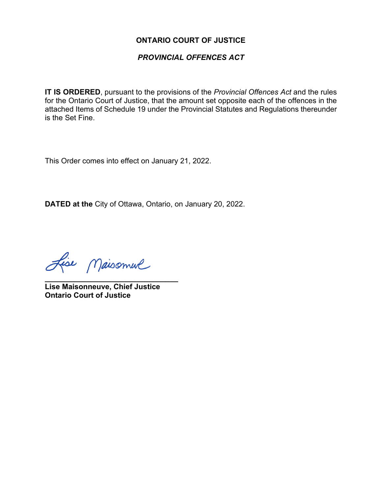### **ONTARIO COURT OF JUSTICE**

#### *PROVINCIAL OFFENCES ACT*

**IT IS ORDERED**, pursuant to the provisions of the *Provincial Offences Act* and the rules for the Ontario Court of Justice, that the amount set opposite each of the offences in the attached Items of Schedule 19 under the Provincial Statutes and Regulations thereunder is the Set Fine.

This Order comes into effect on January 21, 2022.

**DATED at the** City of Ottawa, Ontario, on January 20, 2022.

Lise Maisonnue

**\_\_\_\_\_\_\_\_\_\_\_\_\_\_\_\_\_\_\_\_\_\_\_\_\_\_\_\_\_\_\_\_ Lise Maisonneuve, Chief Justice Ontario Court of Justice**